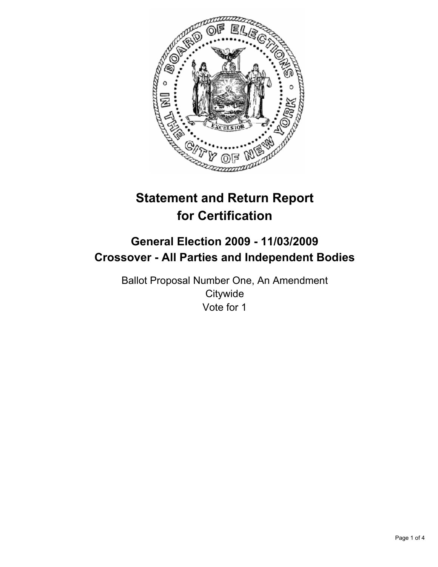

# **Statement and Return Report for Certification**

## **General Election 2009 - 11/03/2009 Crossover - All Parties and Independent Bodies**

Ballot Proposal Number One, An Amendment **Citywide** Vote for 1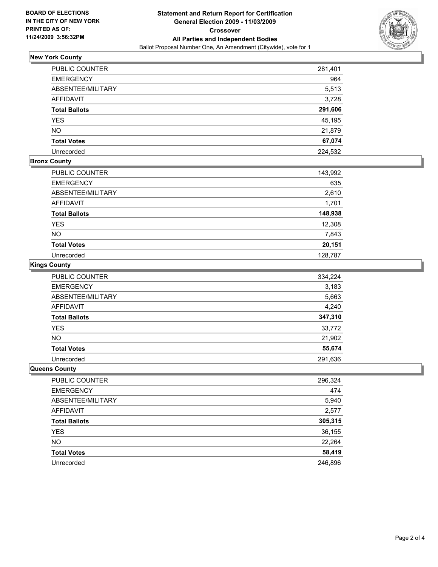

### **New York County**

| PUBLIC COUNTER       | 281,401 |
|----------------------|---------|
| <b>EMERGENCY</b>     | 964     |
| ABSENTEE/MILITARY    | 5,513   |
| <b>AFFIDAVIT</b>     | 3,728   |
| <b>Total Ballots</b> | 291,606 |
| <b>YES</b>           | 45,195  |
| <b>NO</b>            | 21,879  |
| <b>Total Votes</b>   | 67,074  |
| Unrecorded           | 224,532 |

#### **Bronx County**

| PUBLIC COUNTER       | 143,992 |
|----------------------|---------|
| <b>EMERGENCY</b>     | 635     |
| ABSENTEE/MILITARY    | 2,610   |
| <b>AFFIDAVIT</b>     | 1,701   |
| <b>Total Ballots</b> | 148,938 |
| <b>YES</b>           | 12,308  |
| <b>NO</b>            | 7,843   |
| <b>Total Votes</b>   | 20,151  |
| Unrecorded           | 128,787 |

#### **Kings County**

| PUBLIC COUNTER       | 334,224 |
|----------------------|---------|
| <b>EMERGENCY</b>     | 3,183   |
| ABSENTEE/MILITARY    | 5,663   |
| AFFIDAVIT            | 4,240   |
| <b>Total Ballots</b> | 347,310 |
| <b>YES</b>           | 33,772  |
| <b>NO</b>            | 21,902  |
| <b>Total Votes</b>   | 55,674  |
| Unrecorded           | 291,636 |

#### **Queens County**

| PUBLIC COUNTER       | 296,324 |
|----------------------|---------|
| <b>EMERGENCY</b>     | 474     |
| ABSENTEE/MILITARY    | 5,940   |
| AFFIDAVIT            | 2,577   |
| <b>Total Ballots</b> | 305,315 |
| <b>YES</b>           | 36,155  |
| <b>NO</b>            | 22,264  |
| <b>Total Votes</b>   | 58,419  |
| Unrecorded           | 246,896 |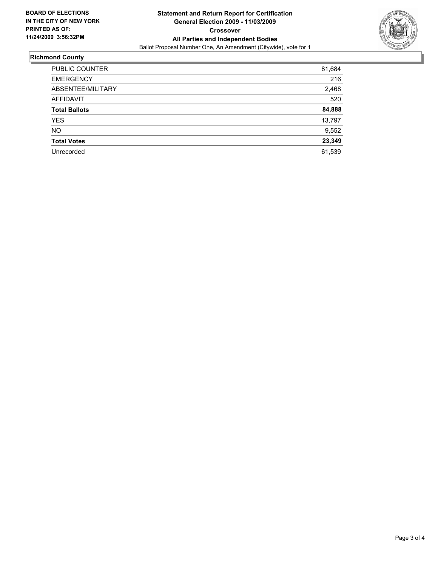

### **Richmond County**

| PUBLIC COUNTER       | 81,684 |
|----------------------|--------|
| <b>EMERGENCY</b>     | 216    |
| ABSENTEE/MILITARY    | 2,468  |
| <b>AFFIDAVIT</b>     | 520    |
| <b>Total Ballots</b> | 84,888 |
| <b>YES</b>           | 13,797 |
| <b>NO</b>            | 9,552  |
| <b>Total Votes</b>   | 23,349 |
| Unrecorded           | 61,539 |